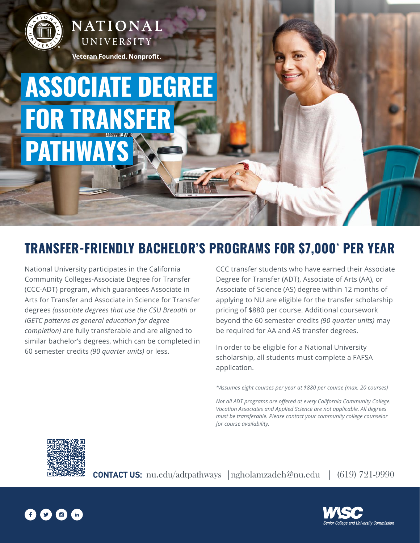

NATIONAL UNIVERSITY

Veteran Founded. Nonprofit.

## **ASSOCIATE DEGREE FOR TRANSFE PATHWA**

## **TRANSFER-FRIENDLY BACHELOR'S PROGRAMS FOR \$7,000\* PER YEAR**

National University participates in the California Community Colleges-Associate Degree for Transfer (CCC-ADT) program, which guarantees Associate in Arts for Transfer and Associate in Science for Transfer degrees *(associate degrees that use the CSU Breadth or IGETC patterns as general education for degree completion)* are fully transferable and are aligned to similar bachelor's degrees, which can be completed in 60 semester credits *(90 quarter units)* or less.

CCC transfer students who have earned their Associate Degree for Transfer (ADT), Associate of Arts (AA), or Associate of Science (AS) degree within 12 months of applying to NU are eligible for the transfer scholarship pricing of \$880 per course. Additional coursework beyond the 60 semester credits *(90 quarter units)* may be required for AA and AS transfer degrees.

In order to be eligible for a National University scholarship, all students must complete a FAFSA application.

*\*Assumes eight courses per year at \$880 per course (max. 20 courses)*

*Not all ADT programs are offered at every California Community College. Vocation Associates and Applied Science are not applicable. All degrees must be transferable. Please contact your community college counselor for course availability.*



CONTACT US: nu.edu/adtpathways |ngholamzadeh@nu.edu | (619) 721-9990